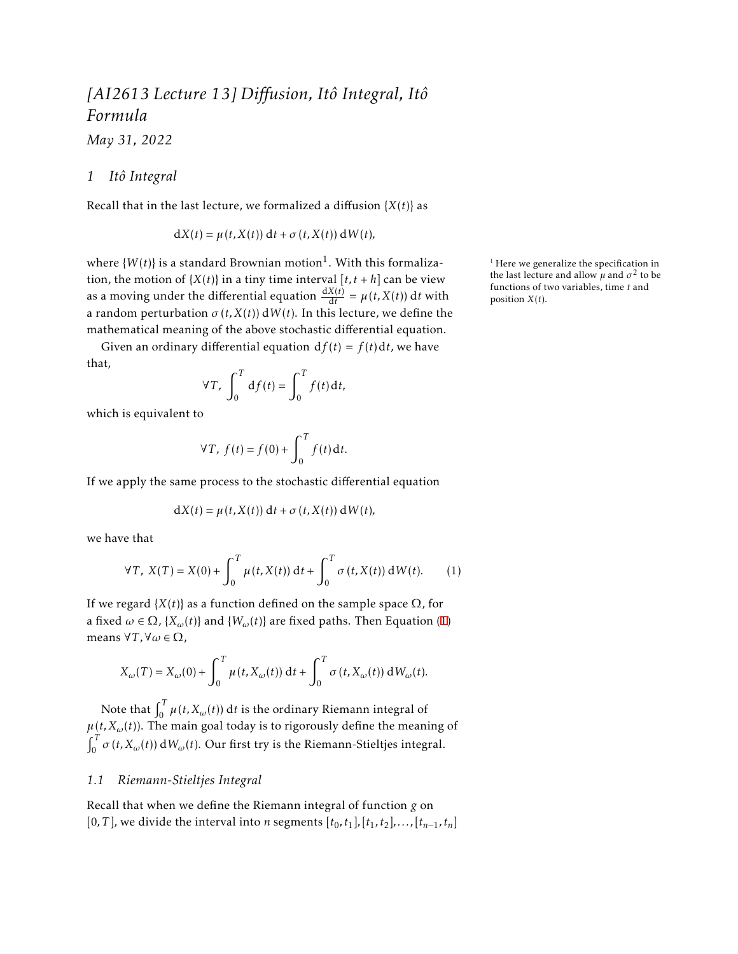# *[AI2613 Lecture 13] Diffusion, Itô Integral, Itô Formula*

*May 31, 2022*

## *1 Itô Integral*

Recall that in the last lecture, we formalized a diffusion  ${X(t)}$  as

$$
dX(t) = \mu(t, X(t)) dt + \sigma(t, X(t)) dW(t),
$$

where  $\{W(t)\}\$ is a standard Brownian motion<sup>1</sup>. With this formalization, the motion of  $\{X(t)\}\$ in a tiny time interval  $[t, t + h]$  can be view as a moving under the differential equation  $\frac{dX(t)}{dt} = \mu(t, X(t)) dt$  with a random perturbation  $\sigma(t, X(t))$  dW(*t*). In this lecture, we define the mathematical meaning of the above stochastic differential equation.

Given an ordinary differential equation  $df(t) = f(t) dt$ , we have that,

$$
\forall T, \int_0^T df(t) = \int_0^T f(t) dt,
$$

which is equivalent to

$$
\forall T, \ f(t) = f(0) + \int_0^T f(t) \, \mathrm{d}t.
$$

If we apply the same process to the stochastic differential equation

<span id="page-0-0"></span>
$$
dX(t) = \mu(t, X(t)) dt + \sigma(t, X(t)) dW(t),
$$

we have that

$$
\forall T, \ X(T) = X(0) + \int_0^T \mu(t, X(t)) dt + \int_0^T \sigma(t, X(t)) dW(t).
$$
 (1)

If we regard  ${X(t)}$  as a function defined on the sample space  $\Omega$ , for a fixed  $\omega \in \Omega$ ,  $\{X_{\omega}(t)\}\$ and  $\{W_{\omega}(t)\}\$ are fixed paths. Then Equation ([1](#page-0-0)) means ∀*T ,*∀*ω* ∈ Ω,

$$
X_{\omega}(T) = X_{\omega}(0) + \int_0^T \mu(t, X_{\omega}(t)) dt + \int_0^T \sigma(t, X_{\omega}(t)) dW_{\omega}(t).
$$

Note that  $\int_0^T \mu(t,X_\omega(t))\,\mathrm{d}t$  is the ordinary Riemann integral of  $\mu(t, X_{\omega}(t))$ . The main goal today is to rigorously define the meaning of  $\int_0^T \sigma(t, X_{\omega}(t)) dW_{\omega}(t)$ . Our first try is the Riemann-Stieltjes integral.

## *1.1 Riemann-Stieltjes Integral*

Recall that when we define the Riemann integral of function *g* on  $[0, T]$ , we divide the interval into *n* segments  $[t_0, t_1]$ ,  $[t_1, t_2]$ , ...,  $[t_{n-1}, t_n]$   $1$  Here we generalize the specification in the last lecture and allow  $\mu$  and  $\sigma^2$  to be functions of two variables, time *t* and position *X*(*t*).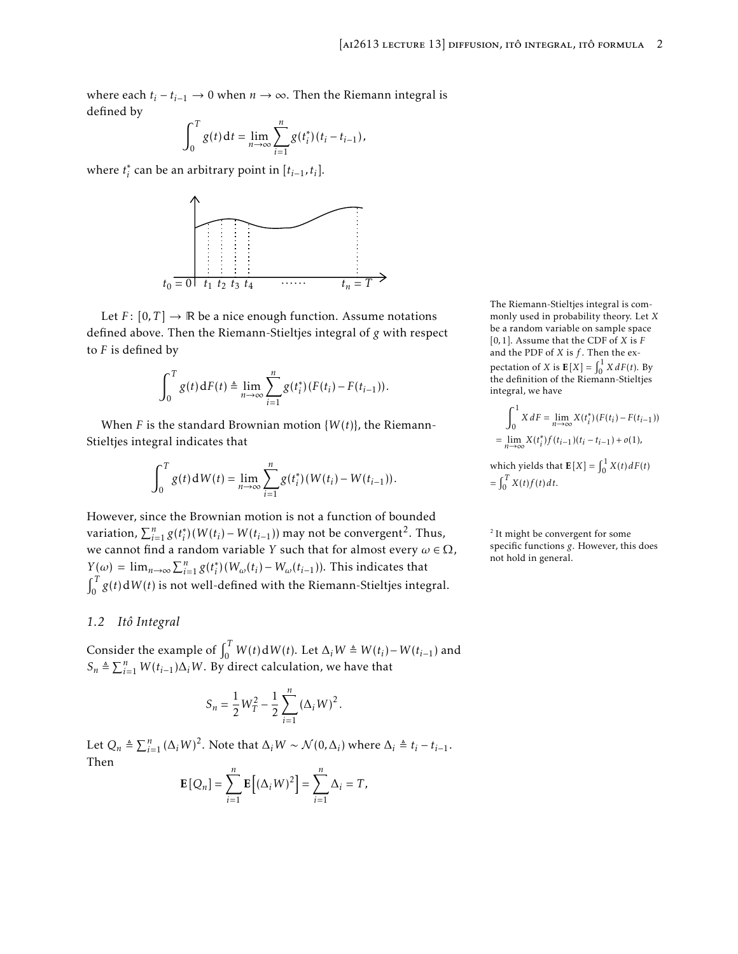where each  $t_i - t_{i-1}$  → 0 when  $n \rightarrow \infty$ . Then the Riemann integral is defined by

$$
\int_0^T g(t) dt = \lim_{n \to \infty} \sum_{i=1}^n g(t_i^*)(t_i - t_{i-1}),
$$

where  $t_i^*$  can be an arbitrary point in  $[t_{i-1}, t_i]$ .



Let  $F: [0, T] \to \mathbb{R}$  be a nice enough function. Assume notations defined above. Then the Riemann-Stieltjes integral of *g* with respect to *F* is defined by

$$
\int_0^T g(t) dF(t) \triangleq \lim_{n \to \infty} \sum_{i=1}^n g(t_i^*)(F(t_i) - F(t_{i-1})).
$$

When *F* is the standard Brownian motion  $\{W(t)\}\$ , the Riemann-Stieltjes integral indicates that

$$
\int_0^T g(t) dW(t) = \lim_{n \to \infty} \sum_{i=1}^n g(t_i^*)(W(t_i) - W(t_{i-1})).
$$

However, since the Brownian motion is not a function of bounded variation,  $\sum_{i=1}^{n} g(t_i^*) (W(t_i) - W(t_{i-1}))$  may not be convergent<sup>2</sup>. Thus, we cannot find a random variable *Y* such that for almost every  $\omega \in \Omega$ ,  $Y(\omega) = \lim_{n \to \infty} \sum_{i=1}^{n} g(t_i^*)(W_{\omega}(t_i) - W_{\omega}(t_{i-1}))$ . This indicates that  $\int_0^T g(t) dW(t)$  is not well-defined with the Riemann-Stieltjes integral.

#### <span id="page-1-0"></span>*1.2 Itô Integral*

Consider the example of  $\int_0^T W(t) dW(t)$ . Let  $\Delta_i W \triangleq W(t_i) - W(t_{i-1})$  and  $S_n \triangleq \sum_{i=1}^n W(t_{i-1})\Delta_i W$ . By direct calculation, we have that

$$
S_n = \frac{1}{2}W_T^2 - \frac{1}{2}\sum_{i=1}^n (\Delta_i W)^2.
$$

Let  $Q_n \triangleq \sum_{i=1}^n (\Delta_i W)^2$ . Note that  $\Delta_i W \sim \mathcal{N}(0, \Delta_i)$  where  $\Delta_i \triangleq t_i - t_{i-1}$ . Then

$$
\mathbf{E}[Q_n] = \sum_{i=1}^n \mathbf{E}[(\Delta_i W)^2] = \sum_{i=1}^n \Delta_i = T,
$$

The Riemann-Stieltjes integral is commonly used in probability theory. Let *X* be a random variable on sample space [0*,*1]. Assume that the CDF of *X* is *F* and the PDF of *X* is *f* . Then the expectation of *X* is  $\mathbf{E}[X] = \int_0^1 X dF(t)$ . By the definition of the Riemann-Stieltjes integral, we have

$$
\int_0^1 X dF = \lim_{n \to \infty} X(t_i^*) (F(t_i) - F(t_{i-1}))
$$
  
= 
$$
\lim_{n \to \infty} X(t_i^*) f(t_{i-1}) (t_i - t_{i-1}) + o(1),
$$
  
which yields that  $E[X] = \int_0^1 X(t) dF(t)$   
= 
$$
\int_0^T X(t) f(t) dt.
$$

<sup>2</sup> It might be convergent for some specific functions *g*. However, this does not hold in general.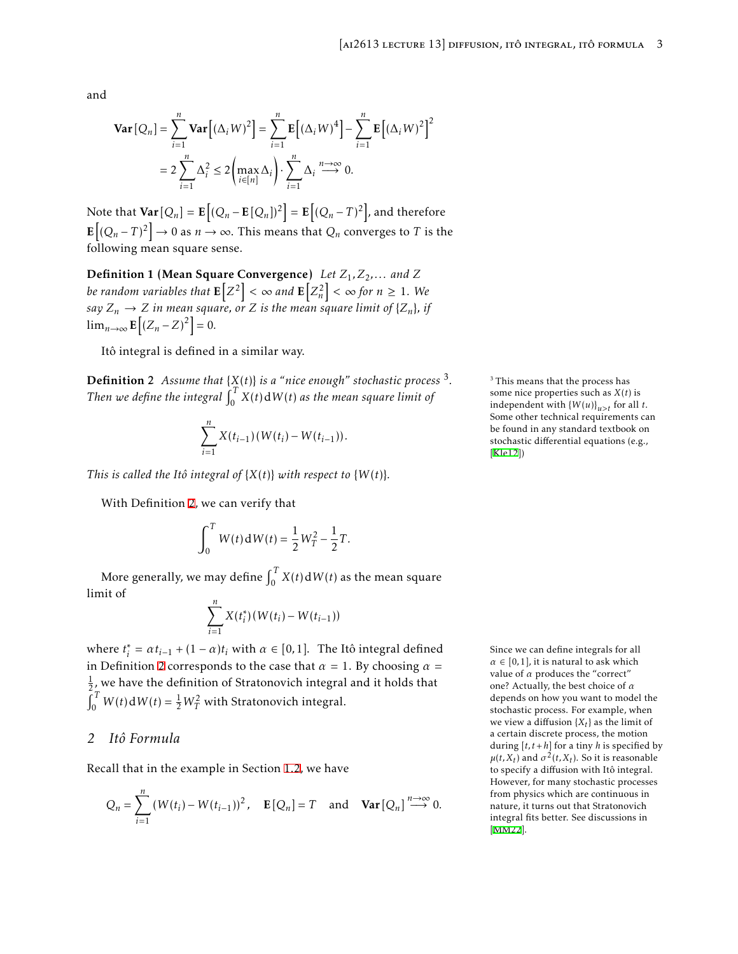<span id="page-2-1"></span>and

$$
\mathbf{Var}\left[Q_n\right] = \sum_{i=1}^n \mathbf{Var}\left[(\Delta_i W)^2\right] = \sum_{i=1}^n \mathbf{E}\left[(\Delta_i W)^4\right] - \sum_{i=1}^n \mathbf{E}\left[(\Delta_i W)^2\right]^2
$$

$$
= 2\sum_{i=1}^n \Delta_i^2 \le 2\left(\max_{i \in [n]} \Delta_i\right) \cdot \sum_{i=1}^n \Delta_i \stackrel{n \to \infty}{\longrightarrow} 0.
$$

Note that  $\textbf{Var}\left[Q_n\right] = \textbf{E}\left[(Q_n - \textbf{E}\left[Q_n\right])^2\right] = \textbf{E}\left[(Q_n - T)^2\right]$ , and therefore  $\mathbf{E}[(Q_n-T)^2] \to 0$  as  $n \to \infty$ . This means that  $Q_n$  converges to *T* is the following mean square sense.

Definition 1 (Mean Square Convergence) *Let Z*1*,Z*2*,... and Z be random variables that*  $\mathbf{E}\left[ Z^2 \right] < \infty$  *and*  $\mathbf{E}\Big[ Z_n^2 \Big] < \infty$  for  $n \geq 1$ . We *say*  $Z_n \to Z$  *in mean square, or Z is the mean square limit of*  $\{Z_n\}$ *, if*  $\lim_{n\to\infty}$ **E** $[(Z_n - Z)^2] = 0$ .

Itô integral is defined in a similar way.

<span id="page-2-0"></span>Definition 2 *Assume that* {*X*(*t*)} *is a "nice enough" stochastic process* <sup>3</sup> *.* Then we define the integral  $\int_0^T X(t) dW(t)$  as the mean square limit of

$$
\sum_{i=1}^n X(t_{i-1})(W(t_i)-W(t_{i-1})).
$$

*This is called the Itô integral of*  $\{X(t)\}\$  *with respect to*  $\{W(t)\}.$ 

With Definition [2,](#page-2-0) we can verify that

$$
\int_0^T W(t) \, dW(t) = \frac{1}{2} W_T^2 - \frac{1}{2} T.
$$

More generally, we may define  $\int_0^T X(t) dW(t)$  as the mean square limit of

$$
\sum_{i=1}^{n} X(t_i^*)(W(t_i) - W(t_{i-1}))
$$

where  $t_i^* = \alpha t_{i-1} + (1 - \alpha)t_i$  with  $\alpha \in [0, 1]$ . The Itô integral defined Since we can define integrals for all in Definition [2](#page-2-0) corresponds to the case that  $\alpha = 1$ . By choosing  $\alpha =$  $\frac{1}{2}$ , we have the definition of Stratonovich integral and it holds that  $\int_0^T W(t) dW(t) = \frac{1}{2}W_T^2$  with Stratonovich integral.

## *2 Itô Formula*

Recall that in the example in Section [1.2](#page-1-0), we have

$$
Q_n = \sum_{i=1}^n \left( W(t_i) - W(t_{i-1}) \right)^2, \quad \mathbf{E}[Q_n] = T \quad \text{and} \quad \mathbf{Var}[Q_n] \stackrel{n \to \infty}{\longrightarrow} 0.
$$

<sup>3</sup> This means that the process has some nice properties such as *X*(*t*) is independent with  ${W(u)}_{u>t}$  for all *t*. Some other technical requirements can be found in any standard textbook on stochastic differential equations (e.g., [\[Kle12](#page-4-0)])

 $\alpha \in [0,1]$ , it is natural to ask which value of *α* produces the "correct" one? Actually, the best choice of *α* depends on how you want to model the stochastic process. For example, when we view a diffusion {*X<sup>t</sup>* } as the limit of a certain discrete process, the motion during  $[t, t+h]$  for a tiny *h* is specified by  $\mu(t, X_t)$  and  $\sigma^2(t, X_t)$ . So it is reasonable to specify a diffusion with Itô integral. However, for many stochastic processes from physics which are continuous in nature, it turns out that Stratonovich integral fits better. See discussions in [\[MM22\]](#page-5-0).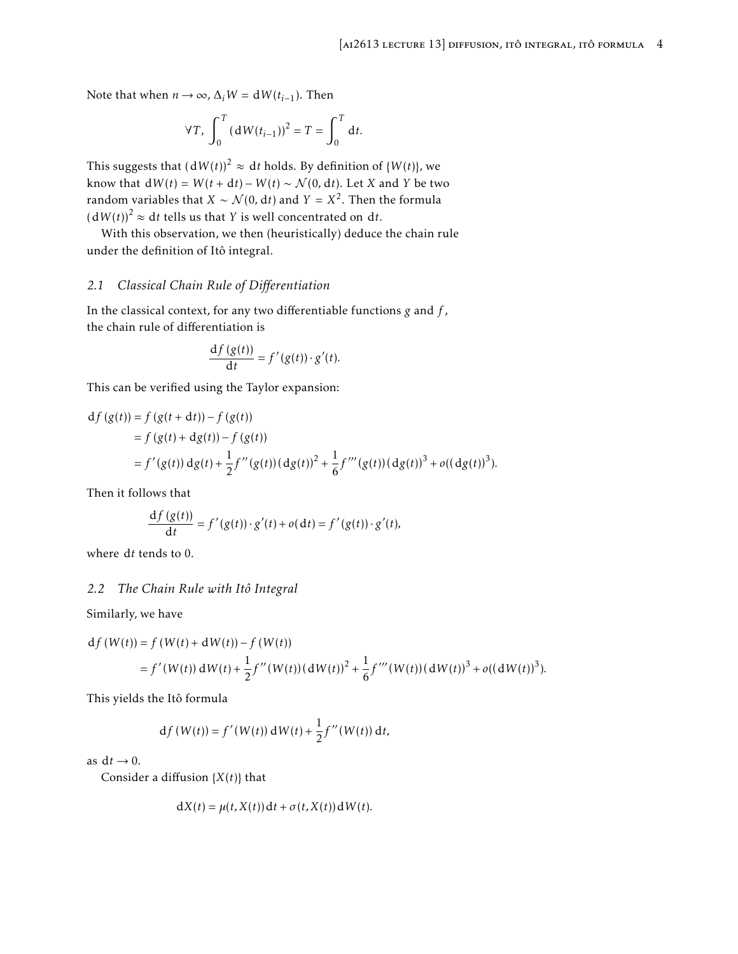Note that when  $n \to \infty$ ,  $\Delta_i W = dW(t_{i-1})$ . Then

$$
\forall T, \int_0^T (dW(t_{i-1}))^2 = T = \int_0^T dt.
$$

This suggests that  $\left(\frac{dW(t)}{2} \approx dt \text{ holds.}$  By definition of  $\{W(t)\}$ , we know that  $dW(t) = W(t + dt) - W(t) \sim \mathcal{N}(0, dt)$ . Let *X* and *Y* be two random variables that  $X \sim \mathcal{N}(0, \mathrm{d}t)$  and  $Y = X^2$ . Then the formula  $(dW(t))$ <sup>2</sup>  $\approx dt$  tells us that *Y* is well concentrated on d*t*.

With this observation, we then (heuristically) deduce the chain rule under the definition of Itô integral.

#### *2.1 Classical Chain Rule of Differentiation*

In the classical context, for any two differentiable functions *g* and *f* , the chain rule of differentiation is

$$
\frac{\mathrm{d}f(g(t))}{\mathrm{d}t}=f'(g(t))\cdot g'(t).
$$

This can be verified using the Taylor expansion:

$$
df (g(t)) = f (g(t+dt)) - f (g(t))
$$
  
=  $f (g(t) + dg(t)) - f (g(t))$   
=  $f'(g(t)) dg(t) + \frac{1}{2} f''(g(t)) (dg(t))^2 + \frac{1}{6} f'''(g(t)) (dg(t))^3 + o((dg(t))^3).$ 

Then it follows that

$$
\frac{\mathrm{d}f(g(t))}{\mathrm{d}t} = f'(g(t)) \cdot g'(t) + o(\mathrm{d}t) = f'(g(t)) \cdot g'(t),
$$

where d*t* tends to 0.

## *2.2 The Chain Rule with Itô Integral*

Similarly, we have

$$
df(W(t)) = f(W(t) + dW(t)) - f(W(t))
$$
  
=  $f'(W(t)) dW(t) + \frac{1}{2} f''(W(t)) (dW(t))^2 + \frac{1}{6} f'''(W(t)) (dW(t))^3 + o((dW(t))^3).$ 

This yields the Itô formula

$$
df(W(t)) = f'(W(t)) dW(t) + \frac{1}{2}f''(W(t)) dt,
$$

as  $dt \rightarrow 0$ .

Consider a diffusion {*X*(*t*)} that

$$
dX(t) = \mu(t, X(t)) dt + \sigma(t, X(t)) dW(t).
$$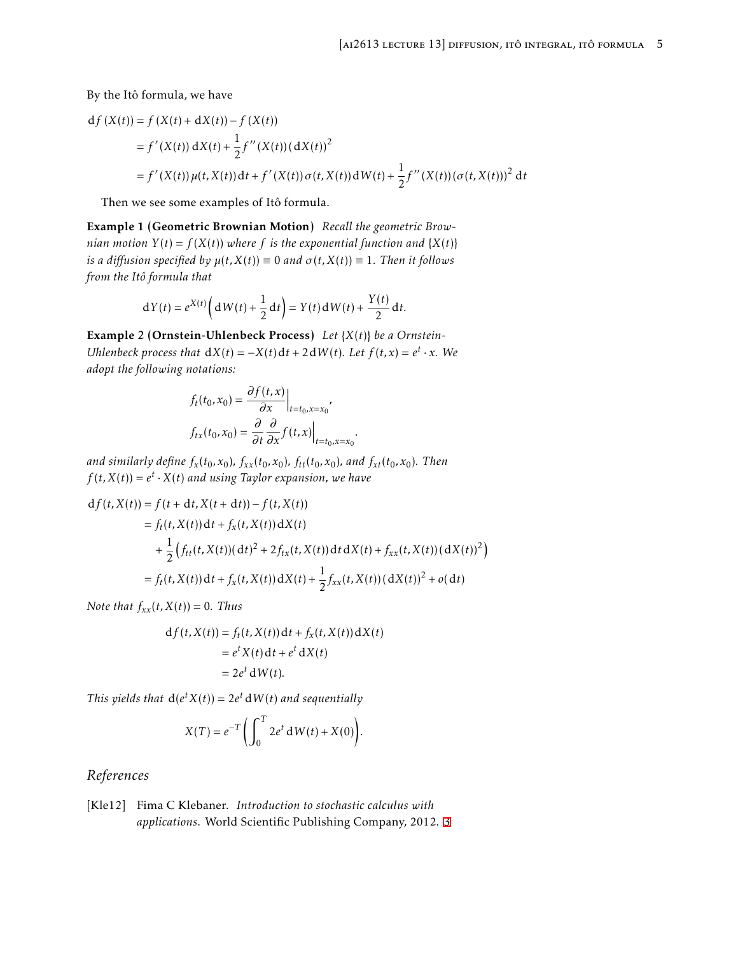By the Itô formula, we have

$$
df (X(t)) = f (X(t) + dX(t)) – f (X(t))
$$
  
=  $f'(X(t)) dX(t) + \frac{1}{2}f''(X(t))(dX(t))^2$   
=  $f'(X(t)) \mu(t, X(t)) dt + f'(X(t)) \sigma(t, X(t)) dW(t) + \frac{1}{2}f''(X(t)) (\sigma(t, X(t)))^2 dt$ 

Then we see some examples of Itô formula.

Example 1 (Geometric Brownian Motion) *Recall the geometric Brownian motion*  $Y(t) = f(X(t))$  *where*  $f$  *is the exponential function and*  $\{X(t)\}$ *is a diffusion specified by*  $\mu(t, X(t)) \equiv 0$  *and*  $\sigma(t, X(t)) \equiv 1$ *. Then it follows from the Itô formula that*

$$
dY(t) = e^{X(t)}\left(dW(t) + \frac{1}{2} dt\right) = Y(t) dW(t) + \frac{Y(t)}{2} dt.
$$

Example 2 (Ornstein-Uhlenbeck Process) *Let* {*X*(*t*)} *be a Ornstein-Uhlenbeck process that*  $dX(t) = -X(t)dt + 2dW(t)$ *. Let*  $f(t, x) = e^t \cdot x$ *. We adopt the following notations:*

$$
f_t(t_0, x_0) = \frac{\partial f(t, x)}{\partial x}\Big|_{t=t_0, x=x_0},
$$
  

$$
f_{tx}(t_0, x_0) = \frac{\partial}{\partial t} \frac{\partial}{\partial x} f(t, x)\Big|_{t=t_0, x=x_0}
$$

and similarly define  $f_x(t_0,x_0)$ ,  $f_{xx}(t_0,x_0)$ ,  $f_{tt}(t_0,x_0)$ , and  $f_{xt}(t_0,x_0)$ . Then  $f(t, X(t)) = e^t \cdot X(t)$  and using Taylor expansion, we have

$$
df(t, X(t)) = f(t + dt, X(t + dt)) - f(t, X(t))
$$
  
=  $f_t(t, X(t))dt + f_x(t, X(t))dX(t)$   
+  $\frac{1}{2} (f_{tt}(t, X(t))(dt)^2 + 2f_{tx}(t, X(t))dt dX(t) + f_{xx}(t, X(t))(dX(t))^2)$   
=  $f_t(t, X(t))dt + f_x(t, X(t))dX(t) + \frac{1}{2}f_{xx}(t, X(t))(dX(t))^2 + o(dt)$ 

*.*

*Note that*  $f_{xx}(t, X(t)) = 0$ *. Thus* 

$$
df(t, X(t)) = f_t(t, X(t)) dt + f_x(t, X(t)) dX(t)
$$
  
=  $e^t X(t) dt + e^t dX(t)$   
=  $2e^t dW(t)$ .

*This yields that*  $d(e^t X(t)) = 2e^t dW(t)$  *and sequentially* 

$$
X(T) = e^{-T} \left( \int_0^T 2e^t \, dW(t) + X(0) \right).
$$

## *References*

<span id="page-4-0"></span>[Kle12] Fima C Klebaner. *Introduction to stochastic calculus with applications*. World Scientific Publishing Company, 2012. [3](#page-2-1)